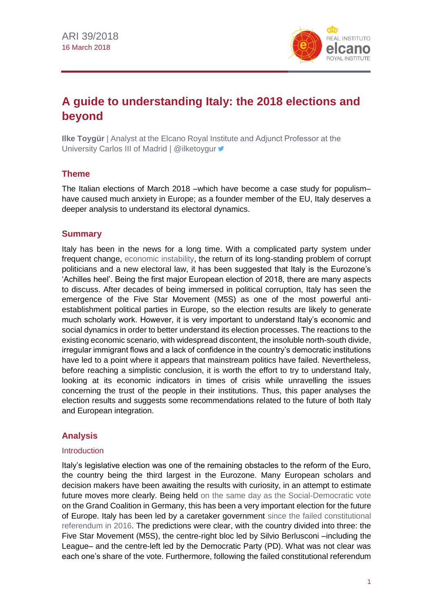

# **A guide to understanding Italy: the 2018 elections and beyond**

**Ilke Toygür** | Analyst at the Elcano Royal Institute and Adjunct Professor at the University Carlos III of Madrid | @ilketoygur

# **Theme**

The Italian elections of March 2018 –which have become a case study for populism– have caused much anxiety in Europe; as a founder member of the EU, Italy deserves a deeper analysis to understand its electoral dynamics.

# **Summary**

Italy has been in the news for a long time. With a complicated party system under frequent change[, economic instability,](https://blog.realinstitutoelcano.org/en/italys-best-solution-private-interest-with-a-side-of-public-bailout/) the return of its long-standing problem of corrupt politicians and a new electoral law, it has been suggested that Italy is the Eurozone's 'Achilles heel'. Being the first major European election of 2018, there are many aspects to discuss. After decades of being immersed in political corruption, Italy has seen the emergence of the Five Star Movement (M5S) as one of the most powerful antiestablishment political parties in Europe, so the election results are likely to generate much scholarly work. However, it is very important to understand Italy's economic and social dynamics in order to better understand its election processes. The reactions to the existing economic scenario, with widespread discontent, the insoluble north-south divide, irregular immigrant flows and a lack of confidence in the country's democratic institutions have led to a point where it appears that mainstream politics have failed. Nevertheless, before reaching a simplistic conclusion, it is worth the effort to try to understand Italy, looking at its economic indicators in times of crisis while unravelling the issues concerning the trust of the people in their institutions. Thus, this paper analyses the election results and suggests some recommendations related to the future of both Italy and European integration.

# **Analysis**

# Introduction

Italy's legislative election was one of the remaining obstacles to the reform of the Euro, the country being the third largest in the Eurozone. Many European scholars and decision makers have been awaiting the results with curiosity, in an attempt to estimate future moves more clearly. Being held [on the same day as the Social-Democratic vote](https://blog.realinstitutoelcano.org/en/europe-knows-where-it-doesnt-want-to-go/) on the Grand Coalition in Germany, this has been a very important election for the future of Europe. Italy has been led by a caretaker government [since the failed constitutional](https://blog.realinstitutoelcano.org/en/italy-and-austria-taking-an-unorthodox-stand-against-populism/)  [referendum in 2016.](https://blog.realinstitutoelcano.org/en/italy-and-austria-taking-an-unorthodox-stand-against-populism/) The predictions were clear, with the country divided into three: the Five Star Movement (M5S), the centre-right bloc led by Silvio Berlusconi –including the League– and the centre-left led by the Democratic Party (PD). What was not clear was each one's share of the vote. Furthermore, following the failed constitutional referendum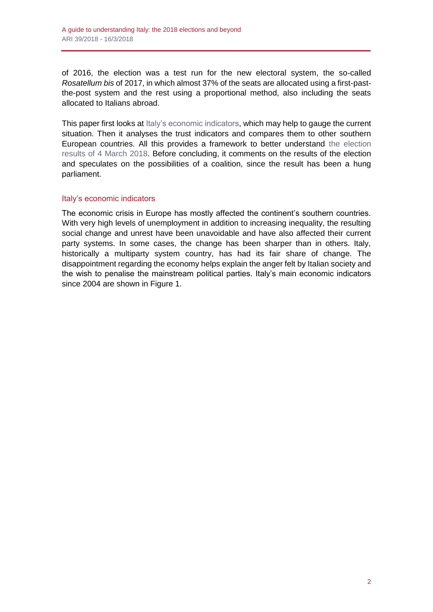of 2016, the election was a test run for the new electoral system, the so-called *Rosatellum bis* of 2017, in which almost 37% of the seats are allocated using a first-pastthe-post system and the rest using a proportional method, also including the seats allocated to Italians abroad.

This paper first looks at [Italy's economic indicators,](http://www.realinstitutoelcano.org/wps/portal/rielcano_en/contenido?WCM_GLOBAL_CONTEXT=/elcano/elcano_in/zonas_in/commentary-puig-sanchez-italy-and-spain-tales-of-two-countries) which may help to gauge the current situation. Then it analyses the trust indicators and compares them to other southern European countries. All this provides a framework to better understand [the election](https://www.theguardian.com/world/ng-interactive/2018/mar/05/italian-elections-2018-full-results-renzi-berlusconi)  [results of 4 March 2018.](https://www.theguardian.com/world/ng-interactive/2018/mar/05/italian-elections-2018-full-results-renzi-berlusconi) Before concluding, it comments on the results of the election and speculates on the possibilities of a coalition, since the result has been a hung parliament.

# Italy's economic indicators

The economic crisis in Europe has mostly affected the continent's southern countries. With very high levels of unemployment in addition to increasing inequality, the resulting social change and unrest have been unavoidable and have also affected their current party systems. In some cases, the change has been sharper than in others. Italy, historically a multiparty system country, has had its fair share of change. The disappointment regarding the economy helps explain the anger felt by Italian society and the wish to penalise the mainstream political parties. Italy's main economic indicators since 2004 are shown in Figure 1.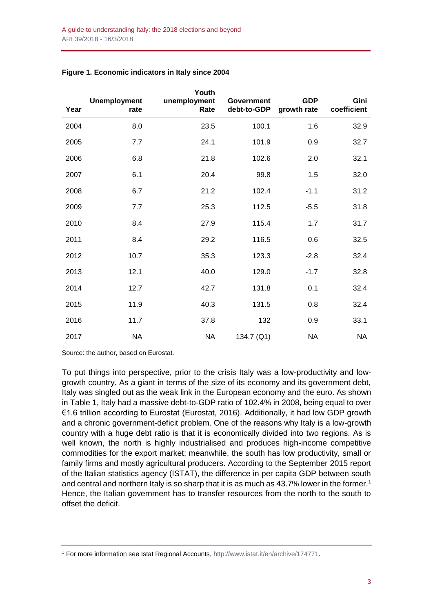| Year | <b>Unemployment</b><br>rate | Youth<br>unemployment<br>Rate | <b>Government</b><br>debt-to-GDP | <b>GDP</b><br>growth rate | Gini<br>coefficient |
|------|-----------------------------|-------------------------------|----------------------------------|---------------------------|---------------------|
| 2004 | 8.0                         | 23.5                          | 100.1                            | 1.6                       | 32.9                |
| 2005 | 7.7                         | 24.1                          | 101.9                            | 0.9                       | 32.7                |
| 2006 | 6.8                         | 21.8                          | 102.6                            | 2.0                       | 32.1                |
| 2007 | 6.1                         | 20.4                          | 99.8                             | 1.5                       | 32.0                |
| 2008 | 6.7                         | 21.2                          | 102.4                            | $-1.1$                    | 31.2                |
| 2009 | 7.7                         | 25.3                          | 112.5                            | $-5.5$                    | 31.8                |
| 2010 | 8.4                         | 27.9                          | 115.4                            | 1.7                       | 31.7                |
| 2011 | 8.4                         | 29.2                          | 116.5                            | 0.6                       | 32.5                |
| 2012 | 10.7                        | 35.3                          | 123.3                            | $-2.8$                    | 32.4                |
| 2013 | 12.1                        | 40.0                          | 129.0                            | $-1.7$                    | 32.8                |
| 2014 | 12.7                        | 42.7                          | 131.8                            | 0.1                       | 32.4                |
| 2015 | 11.9                        | 40.3                          | 131.5                            | 0.8                       | 32.4                |
| 2016 | 11.7                        | 37.8                          | 132                              | 0.9                       | 33.1                |
| 2017 | <b>NA</b>                   | <b>NA</b>                     | 134.7 (Q1)                       | <b>NA</b>                 | <b>NA</b>           |

#### **Figure 1. Economic indicators in Italy since 2004**

Source: the author, based on Eurostat.

To put things into perspective, prior to the crisis Italy was a low-productivity and lowgrowth country. As a giant in terms of the size of its economy and its government debt, Italy was singled out as the weak link in the European economy and the euro. As shown in Table 1, Italy had a massive debt-to-GDP ratio of 102.4% in 2008, being equal to over €1.6 trillion according to Eurostat (Eurostat, 2016). Additionally, it had low GDP growth and a chronic government-deficit problem. One of the reasons why Italy is a low-growth country with a huge debt ratio is that it is economically divided into two regions. As is well known, the north is highly industrialised and produces high-income competitive commodities for the export market; meanwhile, the south has low productivity, small or family firms and mostly agricultural producers. According to the September 2015 report of the Italian statistics agency (ISTAT), the difference in per capita GDP between south and central and northern Italy is so sharp that it is as much as  $43.7\%$  lower in the former.<sup>1</sup> Hence, the Italian government has to transfer resources from the north to the south to offset the deficit.

<sup>&</sup>lt;sup>1</sup> For more information see Istat Regional Accounts[, http://www.istat.it/en/archive/174771.](http://www.istat.it/en/archive/174771)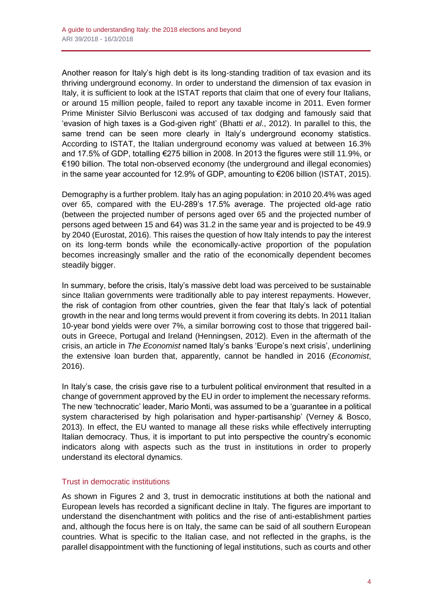Another reason for Italy's high debt is its long-standing tradition of tax evasion and its thriving underground economy. In order to understand the dimension of tax evasion in Italy, it is sufficient to look at the ISTAT reports that claim that one of every four Italians, or around 15 million people, failed to report any taxable income in 2011. Even former Prime Minister Silvio Berlusconi was accused of tax dodging and famously said that 'evasion of high taxes is a God-given right' (Bhatti *et al*., 2012). In parallel to this, the same trend can be seen more clearly in Italy's underground economy statistics. According to ISTAT, the Italian underground economy was valued at between 16.3% and 17.5% of GDP, totalling €275 billion in 2008. In 2013 the figures were still 11.9%, or €190 billion. The total non-observed economy (the underground and illegal economies) in the same year accounted for 12.9% of GDP, amounting to €206 billion (ISTAT, 2015).

Demography is a further problem. Italy has an aging population: in 2010 20.4% was aged over 65, compared with the EU-289's 17.5% average. The projected old-age ratio (between the projected number of persons aged over 65 and the projected number of persons aged between 15 and 64) was 31.2 in the same year and is projected to be 49.9 by 2040 (Eurostat, 2016). This raises the question of how Italy intends to pay the interest on its long-term bonds while the economically-active proportion of the population becomes increasingly smaller and the ratio of the economically dependent becomes steadily bigger.

In summary, before the crisis, Italy's massive debt load was perceived to be sustainable since Italian governments were traditionally able to pay interest repayments. However, the risk of contagion from other countries, given the fear that Italy's lack of potential growth in the near and long terms would prevent it from covering its debts. In 2011 Italian 10-year bond yields were over 7%, a similar borrowing cost to those that triggered bailouts in Greece, Portugal and Ireland (Henningsen, 2012). Even in the aftermath of the crisis, an article in *The Economist* named Italy's banks 'Europe's next crisis', underlining the extensive loan burden that, apparently, cannot be handled in 2016 (*Economist*, 2016).

In Italy's case, the crisis gave rise to a turbulent political environment that resulted in a change of government approved by the EU in order to implement the necessary reforms. The new 'technocratic' leader, Mario Monti, was assumed to be a 'guarantee in a political system characterised by high polarisation and hyper-partisanship' (Verney & Bosco, 2013). In effect, the EU wanted to manage all these risks while effectively interrupting Italian democracy. Thus, it is important to put into perspective the country's economic indicators along with aspects such as the trust in institutions in order to properly understand its electoral dynamics.

# Trust in democratic institutions

As shown in Figures 2 and 3, trust in democratic institutions at both the national and European levels has recorded a significant decline in Italy. The figures are important to understand the disenchantment with politics and the rise of anti-establishment parties and, although the focus here is on Italy, the same can be said of all southern European countries. What is specific to the Italian case, and not reflected in the graphs, is the parallel disappointment with the functioning of legal institutions, such as courts and other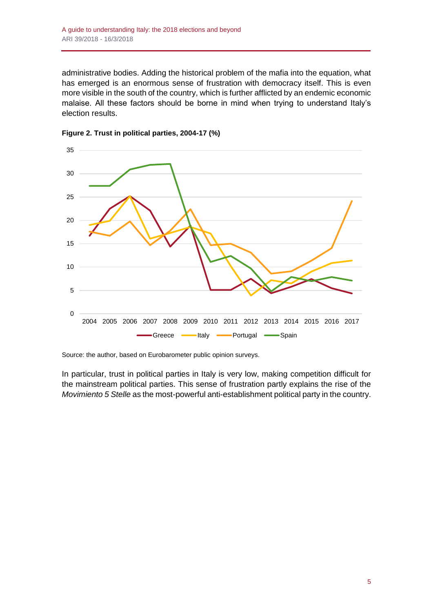administrative bodies. Adding the historical problem of the mafia into the equation, what has emerged is an enormous sense of frustration with democracy itself. This is even more visible in the south of the country, which is further afflicted by an endemic economic malaise. All these factors should be borne in mind when trying to understand Italy's election results.





Source: the author, based on Eurobarometer public opinion surveys.

In particular, trust in political parties in Italy is very low, making competition difficult for the mainstream political parties. This sense of frustration partly explains the rise of the *Movimiento 5 Stelle* as the most-powerful anti-establishment political party in the country.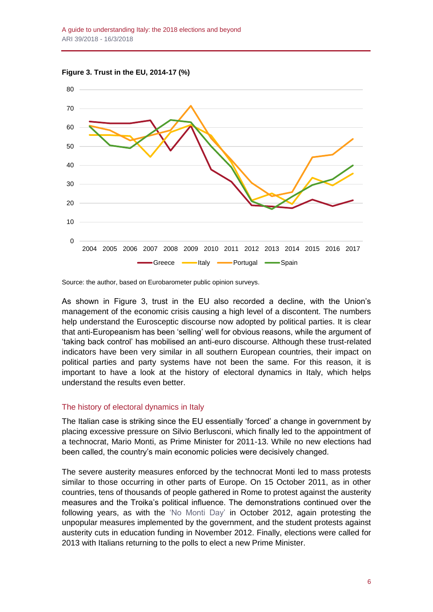



Source: the author, based on Eurobarometer public opinion surveys.

As shown in Figure 3, trust in the EU also recorded a decline, with the Union's management of the economic crisis causing a high level of a discontent. The numbers help understand the Eurosceptic discourse now adopted by political parties. It is clear that anti-Europeanism has been 'selling' well for obvious reasons, while the argument of 'taking back control' has mobilised an anti-euro discourse. Although these trust-related indicators have been very similar in all southern European countries, their impact on political parties and party systems have not been the same. For this reason, it is important to have a look at the history of electoral dynamics in Italy, which helps understand the results even better.

#### The history of electoral dynamics in Italy

The Italian case is striking since the EU essentially 'forced' a change in government by placing excessive pressure on Silvio Berlusconi, which finally led to the appointment of a technocrat, Mario Monti, as Prime Minister for 2011-13. While no new elections had been called, the country's main economic policies were decisively changed.

The severe austerity measures enforced by the technocrat Monti led to mass protests similar to those occurring in other parts of Europe. On 15 October 2011, as in other countries, tens of thousands of people gathered in Rome to protest against the austerity measures and the Troika's political influence. The demonstrations continued over the following years, as with the ['No Monti Day'](http://www.thejournal.ie/italy-protesters-stage-anti-austerity-no-monti-day-652642-Oct2012/) in October 2012, again protesting the unpopular measures implemented by the government, and the student protests against austerity cuts in education funding in November 2012. Finally, elections were called for 2013 with Italians returning to the polls to elect a new Prime Minister.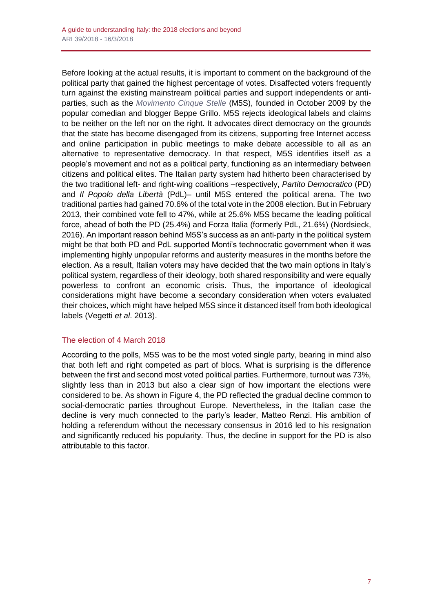Before looking at the actual results, it is important to comment on the background of the political party that gained the highest percentage of votes. Disaffected voters frequently turn against the existing mainstream political parties and support independents or antiparties, such as the *[Movimento Cinque Stelle](https://www.movimento5stelle.it/)* (M5S), founded in October 2009 by the popular comedian and blogger Beppe Grillo. M5S rejects ideological labels and claims to be neither on the left nor on the right. It advocates direct democracy on the grounds that the state has become disengaged from its citizens, supporting free Internet access and online participation in public meetings to make debate accessible to all as an alternative to representative democracy. In that respect, M5S identifies itself as a people's movement and not as a political party, functioning as an intermediary between citizens and political elites. The Italian party system had hitherto been characterised by the two traditional left- and right-wing coalitions –respectively, *Partito Democratico* (PD) and *Il Popolo della Libertà* (PdL)– until M5S entered the political arena. The two traditional parties had gained 70.6% of the total vote in the 2008 election. But in February 2013, their combined vote fell to 47%, while at 25.6% M5S became the leading political force, ahead of both the PD (25.4%) and Forza Italia (formerly PdL, 21.6%) (Nordsieck, 2016). An important reason behind M5S's success as an anti-party in the political system might be that both PD and PdL supported Monti's technocratic government when it was implementing highly unpopular reforms and austerity measures in the months before the election. As a result, Italian voters may have decided that the two main options in Italy's political system, regardless of their ideology, both shared responsibility and were equally powerless to confront an economic crisis. Thus, the importance of ideological considerations might have become a secondary consideration when voters evaluated their choices, which might have helped M5S since it distanced itself from both ideological labels (Vegetti *et al*. 2013).

# The election of 4 March 2018

According to the polls, M5S was to be the most voted single party, bearing in mind also that both left and right competed as part of blocs. What is surprising is the difference between the first and second most voted political parties. Furthermore, turnout was 73%, slightly less than in 2013 but also a clear sign of how important the elections were considered to be. As shown in Figure 4, the PD reflected the gradual decline common to social-democratic parties throughout Europe. Nevertheless, in the Italian case the decline is very much connected to the party's leader, Matteo Renzi. His ambition of holding a referendum without the necessary consensus in 2016 led to his resignation and significantly reduced his popularity. Thus, the decline in support for the PD is also attributable to this factor.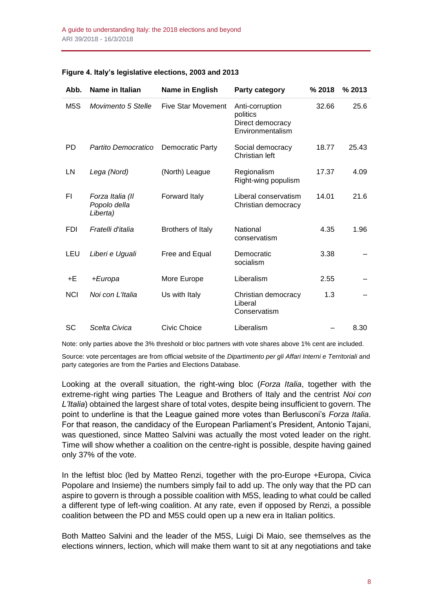| Abb.             | Name in Italian                              | Name in English           | <b>Party category</b>                                               | % 2018 | % 2013 |
|------------------|----------------------------------------------|---------------------------|---------------------------------------------------------------------|--------|--------|
| M <sub>5</sub> S | Movimento 5 Stelle                           | <b>Five Star Movement</b> | Anti-corruption<br>politics<br>Direct democracy<br>Environmentalism | 32.66  | 25.6   |
| PD               | Partito Democratico                          | Democratic Party          | Social democracy<br>Christian left                                  | 18.77  | 25.43  |
| LN               | Lega (Nord)                                  | (North) League            | Regionalism<br>Right-wing populism                                  | 17.37  | 4.09   |
| FI               | Forza Italia (II<br>Popolo della<br>Liberta) | Forward Italy             | Liberal conservatism<br>Christian democracy                         | 14.01  | 21.6   |
| <b>FDI</b>       | Fratelli d'italia                            | Brothers of Italy         | National<br>conservatism                                            | 4.35   | 1.96   |
| LEU              | Liberi e Uguali                              | Free and Equal            | Democratic<br>socialism                                             | 3.38   |        |
| +E               | +Europa                                      | More Europe               | Liberalism                                                          | 2.55   |        |
| <b>NCI</b>       | Noi con L'Italia                             | Us with Italy             | Christian democracy<br>Liberal<br>Conservatism                      | 1.3    |        |
| <b>SC</b>        | Scelta Civica                                | Civic Choice              | Liberalism                                                          |        | 8.30   |

#### **Figure 4. Italy's legislative elections, 2003 and 2013**

Note: only parties above the 3% threshold or bloc partners with vote shares above 1% cent are included.

Source: vote percentages are from official website of the *Dipartimento per gli Affari Interni e Territoriali* and party categories are from the Parties and Elections Database.

Looking at the overall situation, the right-wing bloc (*Forza Italia*, together with the extreme-right wing parties The League and Brothers of Italy and the centrist *Noi con L'Italia*) obtained the largest share of total votes, despite being insufficient to govern. The point to underline is that the League gained more votes than Berlusconi's *Forza Italia*. For that reason, the candidacy of the European Parliament's President, Antonio Tajani, was questioned, since Matteo Salvini was actually the most voted leader on the right. Time will show whether a coalition on the centre-right is possible, despite having gained only 37% of the vote.

In the leftist bloc (led by Matteo Renzi, together with the pro-Europe +Europa, Civica Popolare and Insieme) the numbers simply fail to add up. The only way that the PD can aspire to govern is through a possible coalition with M5S, leading to what could be called a different type of left-wing coalition. At any rate, even if opposed by Renzi, a possible coalition between the PD and M5S could open up a new era in Italian politics.

Both Matteo Salvini and the leader of the M5S, Luigi Di Maio, see themselves as the elections winners, lection, which will make them want to sit at any negotiations and take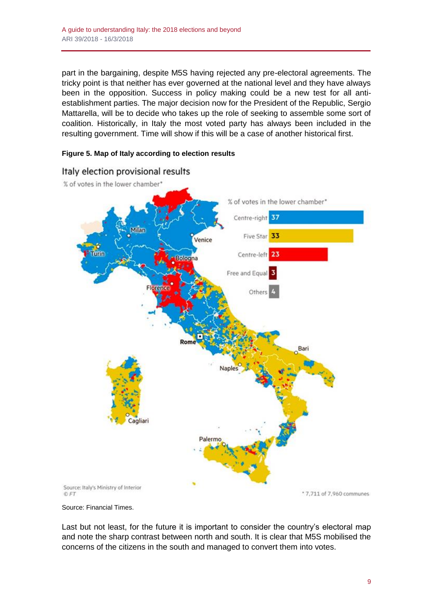part in the bargaining, despite M5S having rejected any pre-electoral agreements. The tricky point is that neither has ever governed at the national level and they have always been in the opposition. Success in policy making could be a new test for all antiestablishment parties. The major decision now for the President of the Republic, Sergio Mattarella, will be to decide who takes up the role of seeking to assemble some sort of coalition. Historically, in Italy the most voted party has always been included in the resulting government. Time will show if this will be a case of another historical first.

#### **Figure 5. Map of Italy according to election results**



# Italy election provisional results

Source: Financial Times.

Last but not least, for the future it is important to consider the country's electoral map and note the sharp contrast between north and south. It is clear that M5S mobilised the concerns of the citizens in the south and managed to convert them into votes.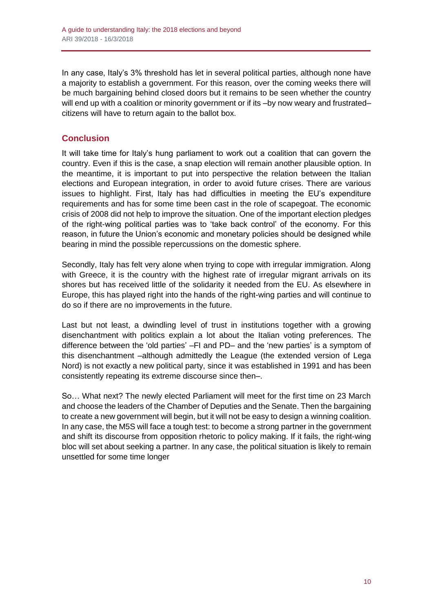In any case, Italy's 3% threshold has let in several political parties, although none have a majority to establish a government. For this reason, over the coming weeks there will be much bargaining behind closed doors but it remains to be seen whether the country will end up with a coalition or minority government or if its -by now weary and frustratedcitizens will have to return again to the ballot box.

# **Conclusion**

It will take time for Italy's hung parliament to work out a coalition that can govern the country. Even if this is the case, a snap election will remain another plausible option. In the meantime, it is important to put into perspective the relation between the Italian elections and European integration, in order to avoid future crises. There are various issues to highlight. First, Italy has had difficulties in meeting the EU's expenditure requirements and has for some time been cast in the role of scapegoat. The economic crisis of 2008 did not help to improve the situation. One of the important election pledges of the right-wing political parties was to 'take back control' of the economy. For this reason, in future the Union's economic and monetary policies should be designed while bearing in mind the possible repercussions on the domestic sphere.

Secondly, Italy has felt very alone when trying to cope with irregular immigration. Along with Greece, it is the country with the highest rate of irregular migrant arrivals on its shores but has received little of the solidarity it needed from the EU. As elsewhere in Europe, this has played right into the hands of the right-wing parties and will continue to do so if there are no improvements in the future.

Last but not least, a dwindling level of trust in institutions together with a growing disenchantment with politics explain a lot about the Italian voting preferences. The difference between the 'old parties' –FI and PD– and the 'new parties' is a symptom of this disenchantment –although admittedly the League (the extended version of Lega Nord) is not exactly a new political party, since it was established in 1991 and has been consistently repeating its extreme discourse since then–.

So… What next? The newly elected Parliament will meet for the first time on 23 March and choose the leaders of the Chamber of Deputies and the Senate. Then the bargaining to create a new government will begin, but it will not be easy to design a winning coalition. In any case, the M5S will face a tough test: to become a strong partner in the government and shift its discourse from opposition rhetoric to policy making. If it fails, the right-wing bloc will set about seeking a partner. In any case, the political situation is likely to remain unsettled for some time longer